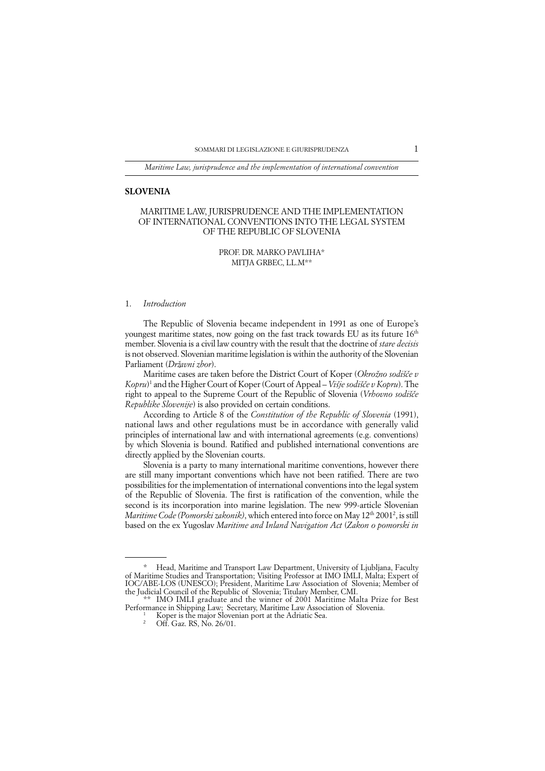#### **SLOVENIA**

# MARITIME LAW, JURISPRUDENCE AND THE IMPLEMENTATION OF INTERNATIONAL CONVENTIONS INTO THE LEGAL SYSTEM OF THE REPUBLIC OF SLOVENIA

## PROF. DR. MARKO PAVLIHA\* MITJA GRBEC, LL.M\*\*

# 1. *Introduction*

The Republic of Slovenia became independent in 1991 as one of Europe's youngest maritime states, now going on the fast track towards EU as its future 16th member. Slovenia is a civil law country with the result that the doctrine of *stare decisis* is not observed. Slovenian maritime legislation is within the authority of the Slovenian Parliament (*Državni zbor*).

Maritime cases are taken before the District Court of Koper (Okrožno sodišče v Kopru)<sup>1</sup> and the Higher Court of Koper (Court of Appeal – *Višje sodišče v Kopru*). The right to appeal to the Supreme Court of the Republic of Slovenia (*Vrhovno sodišče Republike Slovenije*) is also provided on certain conditions.

According to Article 8 of the *Constitution of the Republic of Slovenia* (1991), national laws and other regulations must be in accordance with generally valid principles of international law and with international agreements (e.g. conventions) by which Slovenia is bound. Ratified and published international conventions are directly applied by the Slovenian courts.

Slovenia is a party to many international maritime conventions, however there are still many important conventions which have not been ratified. There are two possibilities for the implementation of international conventions into the legal system of the Republic of Slovenia. The first is ratification of the convention, while the second is its incorporation into marine legislation. The new 999-article Slovenian M*aritime Code (Pomorski zakonik)*, which entered into force on May 12<sup>th</sup> 2001<sup>2</sup>, is still based on the ex Yugoslav *Maritime and Inland Navigation Act* (*Zakon o pomorski in*

<sup>\*</sup> Head, Maritime and Transport Law Department, University of Ljubljana, Faculty of Maritime Studies and Transportation; Visiting Professor at IMO IMLI, Malta; Expert of IOC/ABE-LOS (UNESCO); President, Maritime Law Association of Slovenia; Member of the Judicial Council of the Republic of Slovenia; Titulary Member, CMI.

<sup>\*\*</sup> IMO IMLI graduate and the winner of 2001 Maritime Malta Prize for Best Performance in Shipping Law; Secretary, Maritime Law Association of Slovenia.

<sup>&</sup>lt;sup>1</sup> Koper is the major Slovenian port at the Adriatic Sea.

<sup>&</sup>lt;sup>2</sup> Off. Gaz. RS, No. 26/01.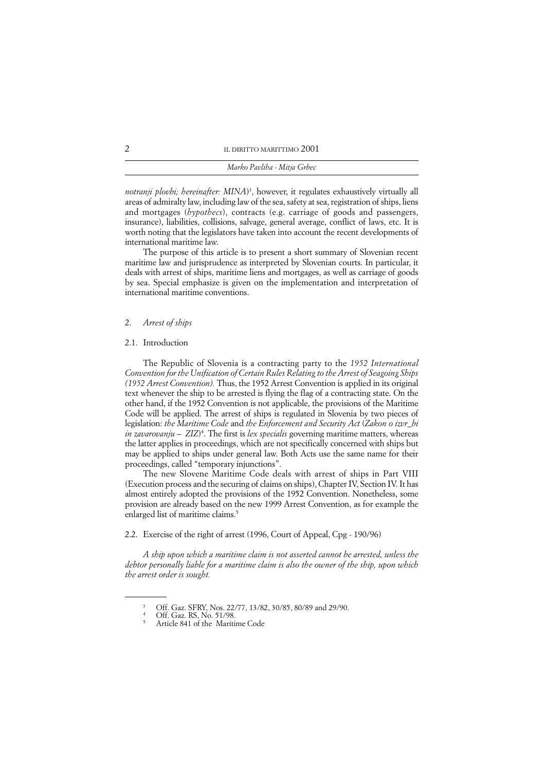| Marko Pavliha - Mitja Grbec |
|-----------------------------|
|                             |

*notranji plovbi; hereinafter: MINA*) 3 , however, it regulates exhaustively virtually all areas of admiralty law, including law of the sea, safety at sea, registration of ships, liens and mortgages (*hypothecs*), contracts (e.g. carriage of goods and passengers, insurance), liabilities, collisions, salvage, general average, conflict of laws, etc. It is worth noting that the legislators have taken into account the recent developments of international maritime law.

The purpose of this article is to present a short summary of Slovenian recent maritime law and jurisprudence as interpreted by Slovenian courts. In particular, it deals with arrest of ships, maritime liens and mortgages, as well as carriage of goods by sea. Special emphasize is given on the implementation and interpretation of international maritime conventions.

# 2. *Arrest of ships*

#### 2.1. Introduction

The Republic of Slovenia is a contracting party to the *1952 International Convention for the Unification of Certain Rules Relating to the Arrest of Seagoing Ships (1952 Arrest Convention).* Thus, the 1952 Arrest Convention is applied in its original text whenever the ship to be arrested is flying the flag of a contracting state. On the other hand, if the 1952 Convention is not applicable, the provisions of the Maritime Code will be applied. The arrest of ships is regulated in Slovenia by two pieces of legislation: *the Maritime Code* and *the Enforcement and Security Act* (*Zakon o izvr\_bi in zavarovanju* – ZIZ)<sup>4</sup>. The first is *lex specialis* governing maritime matters, whereas the latter applies in proceedings, which are not specifically concerned with ships but may be applied to ships under general law. Both Acts use the same name for their proceedings, called "temporary injunctions".

The new Slovene Maritime Code deals with arrest of ships in Part VIII (Execution process and the securing of claims on ships), Chapter IV, Section IV. It has almost entirely adopted the provisions of the 1952 Convention. Nonetheless, some provision are already based on the new 1999 Arrest Convention, as for example the enlarged list of maritime claims.<sup>5</sup>

2.2. Exercise of the right of arrest (1996, Court of Appeal, Cpg - 190/96)

*A ship upon which a maritime claim is not asserted cannot be arrested, unless the debtor personally liable for a maritime claim is also the owner of the ship, upon which the arrest order is sought.*

<sup>3</sup> Off. Gaz. SFRY, Nos. 22/77, 13/82, 30/85, 80/89 and 29/90.

<sup>4</sup> Off. Gaz. RS, No. 51/98.

<sup>5</sup> Article 841 of the Maritime Code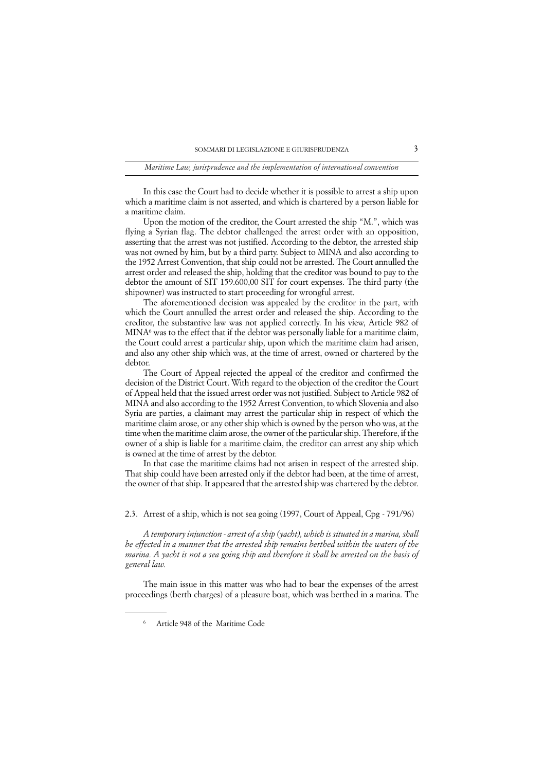In this case the Court had to decide whether it is possible to arrest a ship upon which a maritime claim is not asserted, and which is chartered by a person liable for a maritime claim.

Upon the motion of the creditor, the Court arrested the ship "M.", which was flying a Syrian flag. The debtor challenged the arrest order with an opposition, asserting that the arrest was not justified. According to the debtor, the arrested ship was not owned by him, but by a third party. Subject to MINA and also according to the 1952 Arrest Convention, that ship could not be arrested. The Court annulled the arrest order and released the ship, holding that the creditor was bound to pay to the debtor the amount of SIT 159.600,00 SIT for court expenses. The third party (the shipowner) was instructed to start proceeding for wrongful arrest.

The aforementioned decision was appealed by the creditor in the part, with which the Court annulled the arrest order and released the ship. According to the creditor, the substantive law was not applied correctly. In his view, Article 982 of MINA6 was to the effect that if the debtor was personally liable for a maritime claim, the Court could arrest a particular ship, upon which the maritime claim had arisen, and also any other ship which was, at the time of arrest, owned or chartered by the debtor.

The Court of Appeal rejected the appeal of the creditor and confirmed the decision of the District Court. With regard to the objection of the creditor the Court of Appeal held that the issued arrest order was not justified. Subject to Article 982 of MINA and also according to the 1952 Arrest Convention, to which Slovenia and also Syria are parties, a claimant may arrest the particular ship in respect of which the maritime claim arose, or any other ship which is owned by the person who was, at the time when the maritime claim arose, the owner of the particular ship. Therefore, if the owner of a ship is liable for a maritime claim, the creditor can arrest any ship which is owned at the time of arrest by the debtor.

In that case the maritime claims had not arisen in respect of the arrested ship. That ship could have been arrested only if the debtor had been, at the time of arrest, the owner of that ship. It appeared that the arrested ship was chartered by the debtor.

2.3. Arrest of a ship, which is not sea going (1997, Court of Appeal, Cpg - 791/96)

*A temporary injunction - arrest of a ship (yacht), which is situated in a marina, shall be effected in a manner that the arrested ship remains berthed within the waters of the marina. A yacht is not a sea going ship and therefore it shall be arrested on the basis of general law.* 

The main issue in this matter was who had to bear the expenses of the arrest proceedings (berth charges) of a pleasure boat, which was berthed in a marina. The

<sup>6</sup> Article 948 of the Maritime Code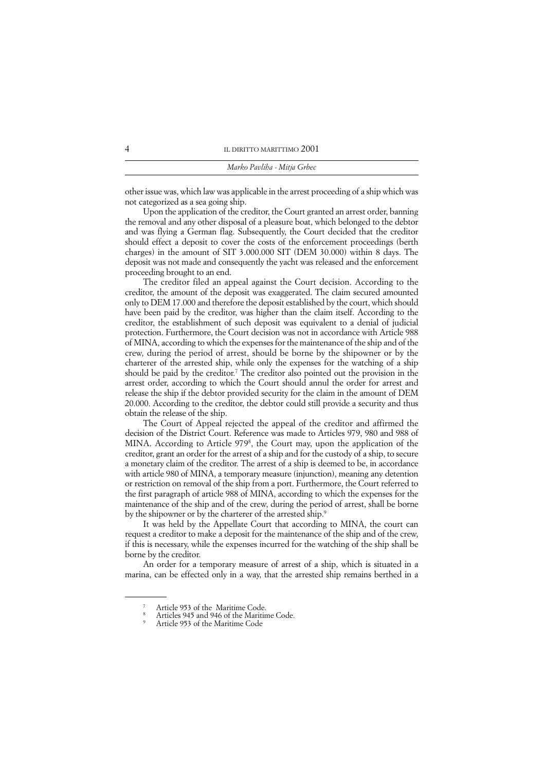| Marko Pavliha - Mitja Grbec |
|-----------------------------|
|-----------------------------|

other issue was, which law was applicable in the arrest proceeding of a ship which was not categorized as a sea going ship.

Upon the application of the creditor, the Court granted an arrest order, banning the removal and any other disposal of a pleasure boat, which belonged to the debtor and was flying a German flag. Subsequently, the Court decided that the creditor should effect a deposit to cover the costs of the enforcement proceedings (berth charges) in the amount of SIT 3.000.000 SIT (DEM 30.000) within 8 days. The deposit was not made and consequently the yacht was released and the enforcement proceeding brought to an end.

The creditor filed an appeal against the Court decision. According to the creditor, the amount of the deposit was exaggerated. The claim secured amounted only to DEM 17.000 and therefore the deposit established by the court, which should have been paid by the creditor, was higher than the claim itself. According to the creditor, the establishment of such deposit was equivalent to a denial of judicial protection. Furthermore, the Court decision was not in accordance with Article 988 of MINA, according to which the expenses for the maintenance of the ship and of the crew, during the period of arrest, should be borne by the shipowner or by the charterer of the arrested ship, while only the expenses for the watching of a ship should be paid by the creditor.7 The creditor also pointed out the provision in the arrest order, according to which the Court should annul the order for arrest and release the ship if the debtor provided security for the claim in the amount of DEM 20.000. According to the creditor, the debtor could still provide a security and thus obtain the release of the ship.

The Court of Appeal rejected the appeal of the creditor and affirmed the decision of the District Court. Reference was made to Articles 979, 980 and 988 of MINA. According to Article 9798 , the Court may, upon the application of the creditor, grant an order for the arrest of a ship and for the custody of a ship, to secure a monetary claim of the creditor. The arrest of a ship is deemed to be, in accordance with article 980 of MINA, a temporary measure (injunction), meaning any detention or restriction on removal of the ship from a port. Furthermore, the Court referred to the first paragraph of article 988 of MINA, according to which the expenses for the maintenance of the ship and of the crew, during the period of arrest, shall be borne by the shipowner or by the charterer of the arrested ship.<sup>9</sup>

It was held by the Appellate Court that according to MINA, the court can request a creditor to make a deposit for the maintenance of the ship and of the crew, if this is necessary, while the expenses incurred for the watching of the ship shall be borne by the creditor.

An order for a temporary measure of arrest of a ship, which is situated in a marina, can be effected only in a way, that the arrested ship remains berthed in a

<sup>&</sup>lt;sup>7</sup> Article 953 of the Maritime Code.

<sup>8</sup> Articles 945 and 946 of the Maritime Code.

Article 953 of the Maritime Code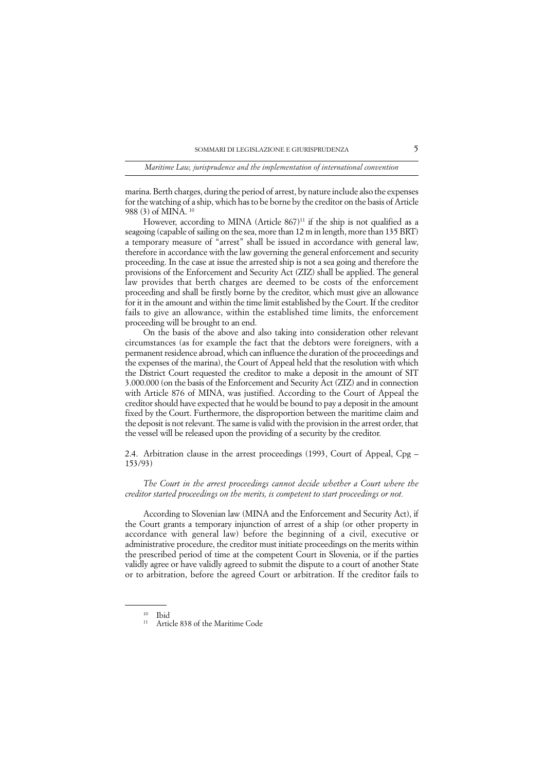marina. Berth charges, during the period of arrest, by nature include also the expenses for the watching of a ship, which has to be borne by the creditor on the basis of Article 988 (3) of MINA. 10

However, according to MINA (Article  $867$ )<sup>11</sup> if the ship is not qualified as a seagoing (capable of sailing on the sea, more than 12 m in length, more than 135 BRT) a temporary measure of "arrest" shall be issued in accordance with general law, therefore in accordance with the law governing the general enforcement and security proceeding. In the case at issue the arrested ship is not a sea going and therefore the provisions of the Enforcement and Security Act (ZIZ) shall be applied. The general law provides that berth charges are deemed to be costs of the enforcement proceeding and shall be firstly borne by the creditor, which must give an allowance for it in the amount and within the time limit established by the Court. If the creditor fails to give an allowance, within the established time limits, the enforcement proceeding will be brought to an end.

On the basis of the above and also taking into consideration other relevant circumstances (as for example the fact that the debtors were foreigners, with a permanent residence abroad, which can influence the duration of the proceedings and the expenses of the marina), the Court of Appeal held that the resolution with which the District Court requested the creditor to make a deposit in the amount of SIT 3.000.000 (on the basis of the Enforcement and Security Act (ZIZ) and in connection with Article 876 of MINA, was justified. According to the Court of Appeal the creditor should have expected that he would be bound to pay a deposit in the amount fixed by the Court. Furthermore, the disproportion between the maritime claim and the deposit is not relevant. The same is valid with the provision in the arrest order, that the vessel will be released upon the providing of a security by the creditor.

2.4. Arbitration clause in the arrest proceedings (1993, Court of Appeal, Cpg – 153/93)

*The Court in the arrest proceedings cannot decide whether a Court where the creditor started proceedings on the merits, is competent to start proceedings or not.* 

According to Slovenian law (MINA and the Enforcement and Security Act), if the Court grants a temporary injunction of arrest of a ship (or other property in accordance with general law) before the beginning of a civil, executive or administrative procedure, the creditor must initiate proceedings on the merits within the prescribed period of time at the competent Court in Slovenia, or if the parties validly agree or have validly agreed to submit the dispute to a court of another State or to arbitration, before the agreed Court or arbitration. If the creditor fails to

 $\frac{10}{11}$  Ibid

Article 838 of the Maritime Code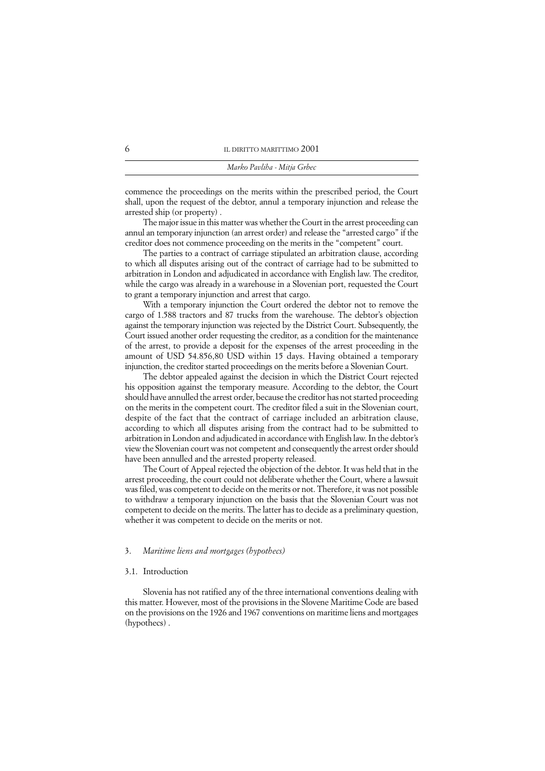| <i>Mitia</i> Grbec<br>$\mathbf{r}$<br>11101150110010000111100 |
|---------------------------------------------------------------|
|                                                               |

commence the proceedings on the merits within the prescribed period, the Court shall, upon the request of the debtor, annul a temporary injunction and release the arrested ship (or property) .

The major issue in this matter was whether the Court in the arrest proceeding can annul an temporary injunction (an arrest order) and release the "arrested cargo" if the creditor does not commence proceeding on the merits in the "competent" court.

The parties to a contract of carriage stipulated an arbitration clause, according to which all disputes arising out of the contract of carriage had to be submitted to arbitration in London and adjudicated in accordance with English law. The creditor, while the cargo was already in a warehouse in a Slovenian port, requested the Court to grant a temporary injunction and arrest that cargo.

With a temporary injunction the Court ordered the debtor not to remove the cargo of 1.588 tractors and 87 trucks from the warehouse. The debtor's objection against the temporary injunction was rejected by the District Court. Subsequently, the Court issued another order requesting the creditor, as a condition for the maintenance of the arrest, to provide a deposit for the expenses of the arrest proceeding in the amount of USD 54.856,80 USD within 15 days. Having obtained a temporary injunction, the creditor started proceedings on the merits before a Slovenian Court.

The debtor appealed against the decision in which the District Court rejected his opposition against the temporary measure. According to the debtor, the Court should have annulled the arrest order, because the creditor has not started proceeding on the merits in the competent court. The creditor filed a suit in the Slovenian court, despite of the fact that the contract of carriage included an arbitration clause, according to which all disputes arising from the contract had to be submitted to arbitration in London and adjudicated in accordance with English law. In the debtor's view the Slovenian court was not competent and consequently the arrest order should have been annulled and the arrested property released.

The Court of Appeal rejected the objection of the debtor. It was held that in the arrest proceeding, the court could not deliberate whether the Court, where a lawsuit was filed, was competent to decide on the merits or not. Therefore, it was not possible to withdraw a temporary injunction on the basis that the Slovenian Court was not competent to decide on the merits. The latter has to decide as a preliminary question, whether it was competent to decide on the merits or not.

# 3. *Maritime liens and mortgages (hypothecs)*

### 3.1. Introduction

Slovenia has not ratified any of the three international conventions dealing with this matter. However, most of the provisions in the Slovene Maritime Code are based on the provisions on the 1926 and 1967 conventions on maritime liens and mortgages (hypothecs) .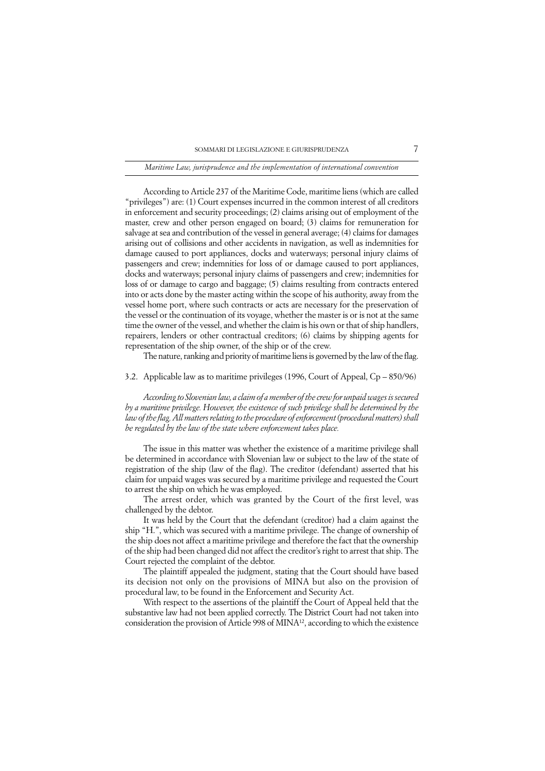According to Article 237 of the Maritime Code, maritime liens (which are called "privileges") are: (1) Court expenses incurred in the common interest of all creditors in enforcement and security proceedings; (2) claims arising out of employment of the master, crew and other person engaged on board; (3) claims for remuneration for salvage at sea and contribution of the vessel in general average; (4) claims for damages arising out of collisions and other accidents in navigation, as well as indemnities for damage caused to port appliances, docks and waterways; personal injury claims of passengers and crew; indemnities for loss of or damage caused to port appliances, docks and waterways; personal injury claims of passengers and crew; indemnities for loss of or damage to cargo and baggage; (5) claims resulting from contracts entered into or acts done by the master acting within the scope of his authority, away from the vessel home port, where such contracts or acts are necessary for the preservation of the vessel or the continuation of its voyage, whether the master is or is not at the same time the owner of the vessel, and whether the claim is his own or that of ship handlers, repairers, lenders or other contractual creditors; (6) claims by shipping agents for representation of the ship owner, of the ship or of the crew.

The nature, ranking and priority of maritime liens is governed by the law of the flag.

# 3.2. Applicable law as to maritime privileges (1996, Court of Appeal, Cp – 850/96)

*According to Slovenian law, a claim of a member of the crew for unpaid wages is secured by a maritime privilege. However, the existence of such privilege shall be determined by the law of the flag. All matters relating to the procedure of enforcement (procedural matters) shall be regulated by the law of the state where enforcement takes place.* 

The issue in this matter was whether the existence of a maritime privilege shall be determined in accordance with Slovenian law or subject to the law of the state of registration of the ship (law of the flag). The creditor (defendant) asserted that his claim for unpaid wages was secured by a maritime privilege and requested the Court to arrest the ship on which he was employed.

The arrest order, which was granted by the Court of the first level, was challenged by the debtor.

It was held by the Court that the defendant (creditor) had a claim against the ship "H.", which was secured with a maritime privilege. The change of ownership of the ship does not affect a maritime privilege and therefore the fact that the ownership of the ship had been changed did not affect the creditor's right to arrest that ship. The Court rejected the complaint of the debtor.

The plaintiff appealed the judgment, stating that the Court should have based its decision not only on the provisions of MINA but also on the provision of procedural law, to be found in the Enforcement and Security Act.

With respect to the assertions of the plaintiff the Court of Appeal held that the substantive law had not been applied correctly. The District Court had not taken into consideration the provision of Article 998 of MINA12, according to which the existence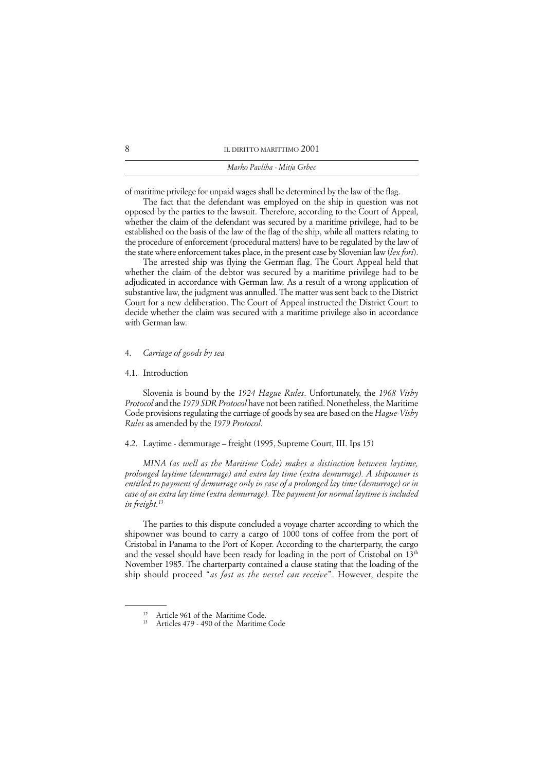of maritime privilege for unpaid wages shall be determined by the law of the flag.

The fact that the defendant was employed on the ship in question was not opposed by the parties to the lawsuit. Therefore, according to the Court of Appeal, whether the claim of the defendant was secured by a maritime privilege, had to be established on the basis of the law of the flag of the ship, while all matters relating to the procedure of enforcement (procedural matters) have to be regulated by the law of the state where enforcement takes place, in the present case by Slovenian law (*lex fori*).

The arrested ship was flying the German flag. The Court Appeal held that whether the claim of the debtor was secured by a maritime privilege had to be adjudicated in accordance with German law. As a result of a wrong application of substantive law, the judgment was annulled. The matter was sent back to the District Court for a new deliberation. The Court of Appeal instructed the District Court to decide whether the claim was secured with a maritime privilege also in accordance with German law.

# 4. *Carriage of goods by sea*

## 4.1. Introduction

Slovenia is bound by the *1924 Hague Rules*. Unfortunately, the *1968 Visby Protocol* and the *1979 SDR Protocol* have not been ratified. Nonetheless, the Maritime Code provisions regulating the carriage of goods by sea are based on the *Hague-Visby Rules* as amended by the *1979 Protocol*.

# 4.2. Laytime - demmurage – freight (1995, Supreme Court, III. Ips 15)

*MINA (as well as the Maritime Code) makes a distinction between laytime, prolonged laytime (demurrage) and extra lay time (extra demurrage). A shipowner is entitled to payment of demurrage only in case of a prolonged lay time (demurrage) or in case of an extra lay time (extra demurrage). The payment for normal laytime is included in freight.13*

The parties to this dispute concluded a voyage charter according to which the shipowner was bound to carry a cargo of 1000 tons of coffee from the port of Cristobal in Panama to the Port of Koper. According to the charterparty, the cargo and the vessel should have been ready for loading in the port of Cristobal on 13th November 1985. The charterparty contained a clause stating that the loading of the ship should proceed "*as fast as the vessel can receive*". However, despite the

<sup>&</sup>lt;sup>12</sup> Article 961 of the Maritime Code.

Articles 479 - 490 of the Maritime Code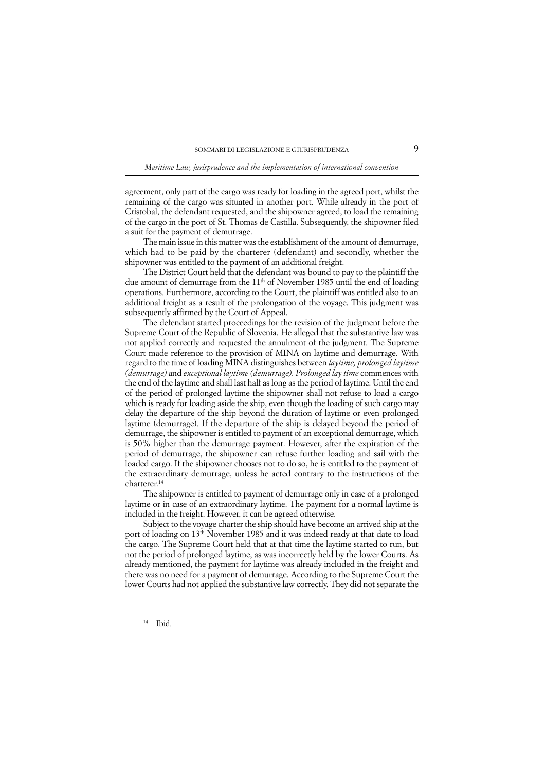agreement, only part of the cargo was ready for loading in the agreed port, whilst the remaining of the cargo was situated in another port. While already in the port of Cristobal, the defendant requested, and the shipowner agreed, to load the remaining of the cargo in the port of St. Thomas de Castilla. Subsequently, the shipowner filed a suit for the payment of demurrage.

The main issue in this matter was the establishment of the amount of demurrage, which had to be paid by the charterer (defendant) and secondly, whether the shipowner was entitled to the payment of an additional freight.

The District Court held that the defendant was bound to pay to the plaintiff the due amount of demurrage from the 11<sup>th</sup> of November 1985 until the end of loading operations. Furthermore, according to the Court, the plaintiff was entitled also to an additional freight as a result of the prolongation of the voyage. This judgment was subsequently affirmed by the Court of Appeal.

The defendant started proceedings for the revision of the judgment before the Supreme Court of the Republic of Slovenia. He alleged that the substantive law was not applied correctly and requested the annulment of the judgment. The Supreme Court made reference to the provision of MINA on laytime and demurrage. With regard to the time of loading MINA distinguishes between *laytime, prolonged laytime (demurrage)* and *exceptional laytime (demurrage). Prolonged lay time* commences with the end of the laytime and shall last half as long as the period of laytime. Until the end of the period of prolonged laytime the shipowner shall not refuse to load a cargo which is ready for loading aside the ship, even though the loading of such cargo may delay the departure of the ship beyond the duration of laytime or even prolonged laytime (demurrage). If the departure of the ship is delayed beyond the period of demurrage, the shipowner is entitled to payment of an exceptional demurrage, which is 50% higher than the demurrage payment. However, after the expiration of the period of demurrage, the shipowner can refuse further loading and sail with the loaded cargo. If the shipowner chooses not to do so, he is entitled to the payment of the extraordinary demurrage, unless he acted contrary to the instructions of the charterer.<sup>14</sup>

The shipowner is entitled to payment of demurrage only in case of a prolonged laytime or in case of an extraordinary laytime. The payment for a normal laytime is included in the freight. However, it can be agreed otherwise.

Subject to the voyage charter the ship should have become an arrived ship at the port of loading on 13<sup>th</sup> November 1985 and it was indeed ready at that date to load the cargo. The Supreme Court held that at that time the laytime started to run, but not the period of prolonged laytime, as was incorrectly held by the lower Courts. As already mentioned, the payment for laytime was already included in the freight and there was no need for a payment of demurrage. According to the Supreme Court the lower Courts had not applied the substantive law correctly. They did not separate the

<sup>14</sup> Ibid.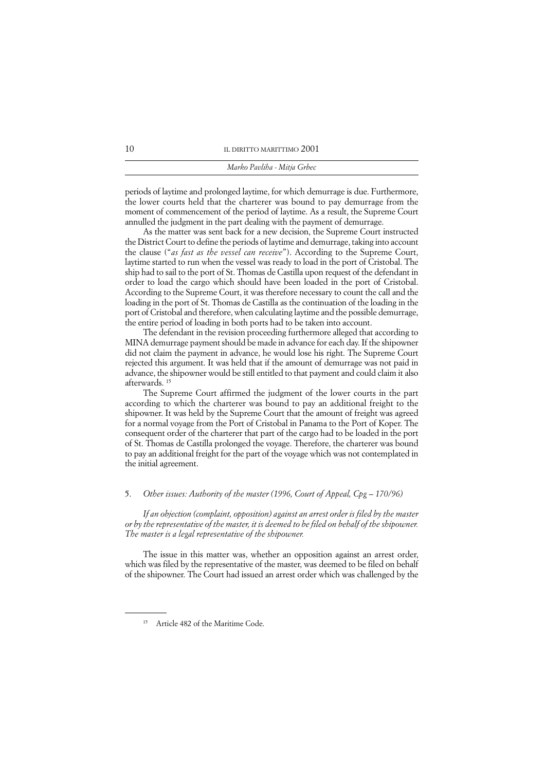| Marko Pavliha - Mitja Grbec |
|-----------------------------|
|                             |

periods of laytime and prolonged laytime, for which demurrage is due. Furthermore, the lower courts held that the charterer was bound to pay demurrage from the moment of commencement of the period of laytime. As a result, the Supreme Court annulled the judgment in the part dealing with the payment of demurrage.

As the matter was sent back for a new decision, the Supreme Court instructed the District Court to define the periods of laytime and demurrage, taking into account the clause ("*as fast as the vessel can receive*"). According to the Supreme Court, laytime started to run when the vessel was ready to load in the port of Cristobal. The ship had to sail to the port of St. Thomas de Castilla upon request of the defendant in order to load the cargo which should have been loaded in the port of Cristobal. According to the Supreme Court, it was therefore necessary to count the call and the loading in the port of St. Thomas de Castilla as the continuation of the loading in the port of Cristobal and therefore, when calculating laytime and the possible demurrage, the entire period of loading in both ports had to be taken into account.

The defendant in the revision proceeding furthermore alleged that according to MINA demurrage payment should be made in advance for each day. If the shipowner did not claim the payment in advance, he would lose his right. The Supreme Court rejected this argument. It was held that if the amount of demurrage was not paid in advance, the shipowner would be still entitled to that payment and could claim it also afterwards. 15

The Supreme Court affirmed the judgment of the lower courts in the part according to which the charterer was bound to pay an additional freight to the shipowner. It was held by the Supreme Court that the amount of freight was agreed for a normal voyage from the Port of Cristobal in Panama to the Port of Koper. The consequent order of the charterer that part of the cargo had to be loaded in the port of St. Thomas de Castilla prolonged the voyage. Therefore, the charterer was bound to pay an additional freight for the part of the voyage which was not contemplated in the initial agreement.

# 5. *Other issues: Authority of the master (1996, Court of Appeal, Cpg – 170/96)*

*If an objection (complaint, opposition) against an arrest order is filed by the master or by the representative of the master, it is deemed to be filed on behalf of the shipowner. The master is a legal representative of the shipowner.* 

The issue in this matter was, whether an opposition against an arrest order, which was filed by the representative of the master, was deemed to be filed on behalf of the shipowner. The Court had issued an arrest order which was challenged by the

Article 482 of the Maritime Code.